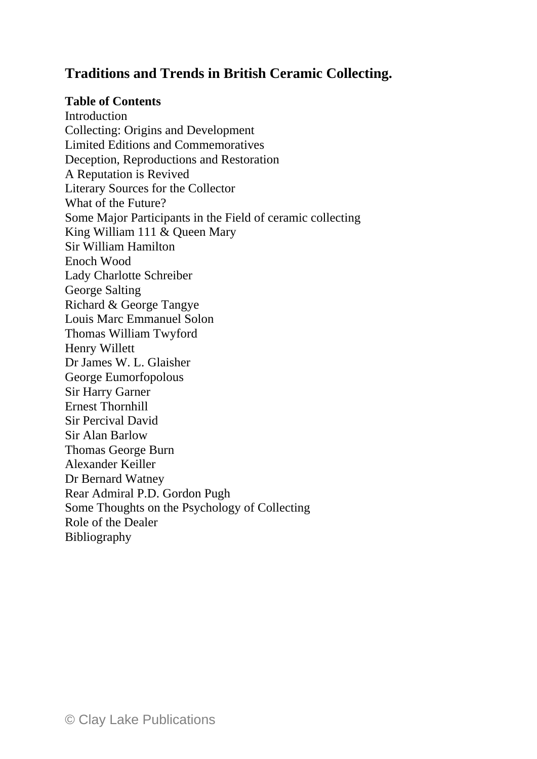## **Traditions and Trends in British Ceramic Collecting.**

## **Table of Contents**

Introduction Collecting: Origins and Development Limited Editions and Commemoratives Deception, Reproductions and Restoration A Reputation is Revived Literary Sources for the Collector What of the Future? Some Major Participants in the Field of ceramic collecting King William 111 & Queen Mary Sir William Hamilton Enoch Wood Lady Charlotte Schreiber George Salting Richard & George Tangye Louis Marc Emmanuel Solon Thomas William Twyford Henry Willett Dr James W. L. Glaisher George Eumorfopolous Sir Harry Garner Ernest Thornhill Sir Percival David Sir Alan Barlow Thomas George Burn Alexander Keiller Dr Bernard Watney Rear Admiral P.D. Gordon Pugh Some Thoughts on the Psychology of Collecting Role of the Dealer Bibliography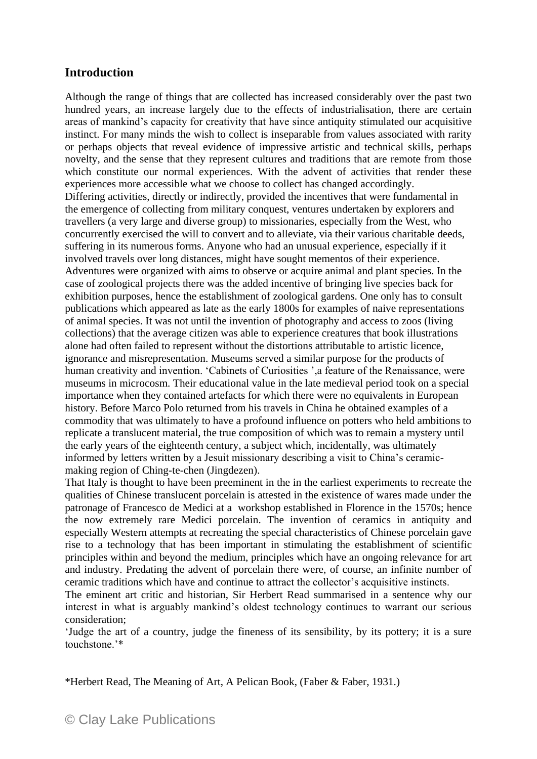## **Introduction**

Although the range of things that are collected has increased considerably over the past two hundred years, an increase largely due to the effects of industrialisation, there are certain areas of mankind's capacity for creativity that have since antiquity stimulated our acquisitive instinct. For many minds the wish to collect is inseparable from values associated with rarity or perhaps objects that reveal evidence of impressive artistic and technical skills, perhaps novelty, and the sense that they represent cultures and traditions that are remote from those which constitute our normal experiences. With the advent of activities that render these experiences more accessible what we choose to collect has changed accordingly. Differing activities, directly or indirectly, provided the incentives that were fundamental in the emergence of collecting from military conquest, ventures undertaken by explorers and travellers (a very large and diverse group) to missionaries, especially from the West, who concurrently exercised the will to convert and to alleviate, via their various charitable deeds, suffering in its numerous forms. Anyone who had an unusual experience, especially if it involved travels over long distances, might have sought mementos of their experience. Adventures were organized with aims to observe or acquire animal and plant species. In the case of zoological projects there was the added incentive of bringing live species back for exhibition purposes, hence the establishment of zoological gardens. One only has to consult publications which appeared as late as the early 1800s for examples of naive representations of animal species. It was not until the invention of photography and access to zoos (living collections) that the average citizen was able to experience creatures that book illustrations alone had often failed to represent without the distortions attributable to artistic licence, ignorance and misrepresentation. Museums served a similar purpose for the products of human creativity and invention. 'Cabinets of Curiosities', a feature of the Renaissance, were museums in microcosm. Their educational value in the late medieval period took on a special importance when they contained artefacts for which there were no equivalents in European history. Before Marco Polo returned from his travels in China he obtained examples of a commodity that was ultimately to have a profound influence on potters who held ambitions to replicate a translucent material, the true composition of which was to remain a mystery until the early years of the eighteenth century, a subject which, incidentally, was ultimately informed by letters written by a Jesuit missionary describing a visit to China's ceramicmaking region of Ching-te-chen (Jingdezen).

That Italy is thought to have been preeminent in the in the earliest experiments to recreate the qualities of Chinese translucent porcelain is attested in the existence of wares made under the patronage of Francesco de Medici at a workshop established in Florence in the 1570s; hence the now extremely rare Medici porcelain. The invention of ceramics in antiquity and especially Western attempts at recreating the special characteristics of Chinese porcelain gave rise to a technology that has been important in stimulating the establishment of scientific principles within and beyond the medium, principles which have an ongoing relevance for art and industry. Predating the advent of porcelain there were, of course, an infinite number of ceramic traditions which have and continue to attract the collector's acquisitive instincts.

The eminent art critic and historian, Sir Herbert Read summarised in a sentence why our interest in what is arguably mankind's oldest technology continues to warrant our serious consideration;

'Judge the art of a country, judge the fineness of its sensibility, by its pottery; it is a sure touchstone.'\*

\*Herbert Read, The Meaning of Art, A Pelican Book, (Faber & Faber, 1931.)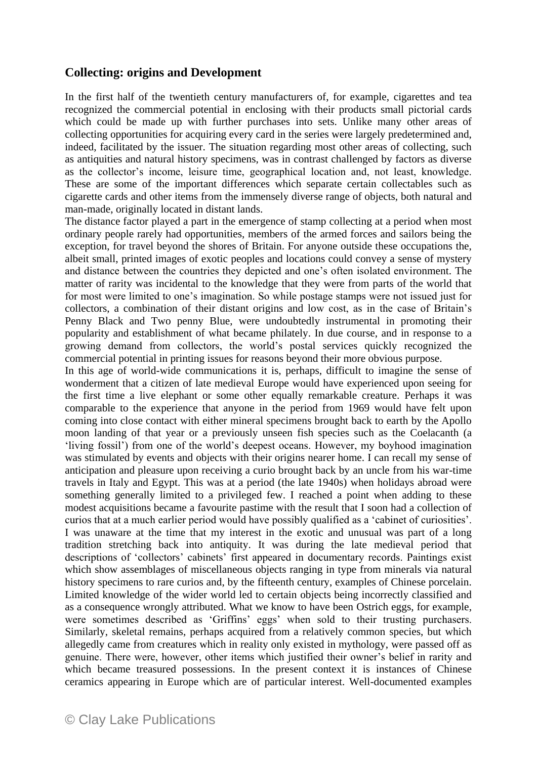## **Collecting: origins and Development**

In the first half of the twentieth century manufacturers of, for example, cigarettes and tea recognized the commercial potential in enclosing with their products small pictorial cards which could be made up with further purchases into sets. Unlike many other areas of collecting opportunities for acquiring every card in the series were largely predetermined and, indeed, facilitated by the issuer. The situation regarding most other areas of collecting, such as antiquities and natural history specimens, was in contrast challenged by factors as diverse as the collector's income, leisure time, geographical location and, not least, knowledge. These are some of the important differences which separate certain collectables such as cigarette cards and other items from the immensely diverse range of objects, both natural and man-made, originally located in distant lands.

The distance factor played a part in the emergence of stamp collecting at a period when most ordinary people rarely had opportunities, members of the armed forces and sailors being the exception, for travel beyond the shores of Britain. For anyone outside these occupations the, albeit small, printed images of exotic peoples and locations could convey a sense of mystery and distance between the countries they depicted and one's often isolated environment. The matter of rarity was incidental to the knowledge that they were from parts of the world that for most were limited to one's imagination. So while postage stamps were not issued just for collectors, a combination of their distant origins and low cost, as in the case of Britain's Penny Black and Two penny Blue, were undoubtedly instrumental in promoting their popularity and establishment of what became philately. In due course, and in response to a growing demand from collectors, the world's postal services quickly recognized the commercial potential in printing issues for reasons beyond their more obvious purpose.

In this age of world-wide communications it is, perhaps, difficult to imagine the sense of wonderment that a citizen of late medieval Europe would have experienced upon seeing for the first time a live elephant or some other equally remarkable creature. Perhaps it was comparable to the experience that anyone in the period from 1969 would have felt upon coming into close contact with either mineral specimens brought back to earth by the Apollo moon landing of that year or a previously unseen fish species such as the Coelacanth (a 'living fossil') from one of the world's deepest oceans. However, my boyhood imagination was stimulated by events and objects with their origins nearer home. I can recall my sense of anticipation and pleasure upon receiving a curio brought back by an uncle from his war-time travels in Italy and Egypt. This was at a period (the late 1940s) when holidays abroad were something generally limited to a privileged few. I reached a point when adding to these modest acquisitions became a favourite pastime with the result that I soon had a collection of curios that at a much earlier period would have possibly qualified as a 'cabinet of curiosities'. I was unaware at the time that my interest in the exotic and unusual was part of a long tradition stretching back into antiquity. It was during the late medieval period that descriptions of 'collectors' cabinets' first appeared in documentary records. Paintings exist which show assemblages of miscellaneous objects ranging in type from minerals via natural history specimens to rare curios and, by the fifteenth century, examples of Chinese porcelain. Limited knowledge of the wider world led to certain objects being incorrectly classified and as a consequence wrongly attributed. What we know to have been Ostrich eggs, for example, were sometimes described as 'Griffins' eggs' when sold to their trusting purchasers. Similarly, skeletal remains, perhaps acquired from a relatively common species, but which allegedly came from creatures which in reality only existed in mythology, were passed off as genuine. There were, however, other items which justified their owner's belief in rarity and which became treasured possessions. In the present context it is instances of Chinese ceramics appearing in Europe which are of particular interest. Well-documented examples